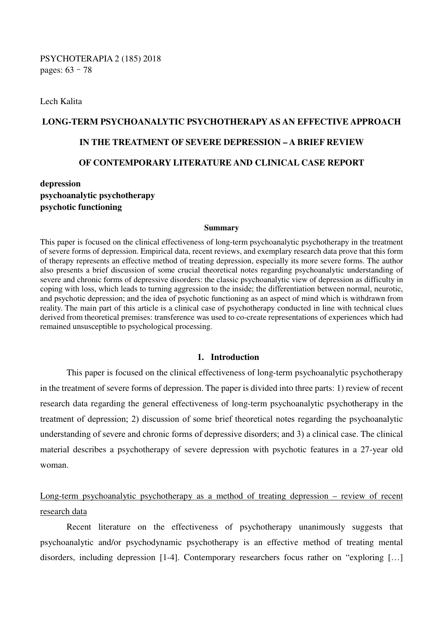Lech Kalita

# **LONG-TERM PSYCHOANALYTIC PSYCHOTHERAPY AS AN EFFECTIVE APPROACH IN THE TREATMENT OF SEVERE DEPRESSION – A BRIEF REVIEW OF CONTEMPORARY LITERATURE AND CLINICAL CASE REPORT**

## **depression psychoanalytic psychotherapy psychotic functioning**

#### **Summary**

This paper is focused on the clinical effectiveness of long-term psychoanalytic psychotherapy in the treatment of severe forms of depression. Empirical data, recent reviews, and exemplary research data prove that this form of therapy represents an effective method of treating depression, especially its more severe forms. The author also presents a brief discussion of some crucial theoretical notes regarding psychoanalytic understanding of severe and chronic forms of depressive disorders: the classic psychoanalytic view of depression as difficulty in coping with loss, which leads to turning aggression to the inside; the differentiation between normal, neurotic, and psychotic depression; and the idea of psychotic functioning as an aspect of mind which is withdrawn from reality. The main part of this article is a clinical case of psychotherapy conducted in line with technical clues derived from theoretical premises: transference was used to co-create representations of experiences which had remained unsusceptible to psychological processing.

#### **1. Introduction**

 This paper is focused on the clinical effectiveness of long-term psychoanalytic psychotherapy in the treatment of severe forms of depression. The paper is divided into three parts: 1) review of recent research data regarding the general effectiveness of long-term psychoanalytic psychotherapy in the treatment of depression; 2) discussion of some brief theoretical notes regarding the psychoanalytic understanding of severe and chronic forms of depressive disorders; and 3) a clinical case. The clinical material describes a psychotherapy of severe depression with psychotic features in a 27-year old woman.

# Long-term psychoanalytic psychotherapy as a method of treating depression – review of recent research data

 Recent literature on the effectiveness of psychotherapy unanimously suggests that psychoanalytic and/or psychodynamic psychotherapy is an effective method of treating mental disorders, including depression [1-4]. Contemporary researchers focus rather on "exploring [...]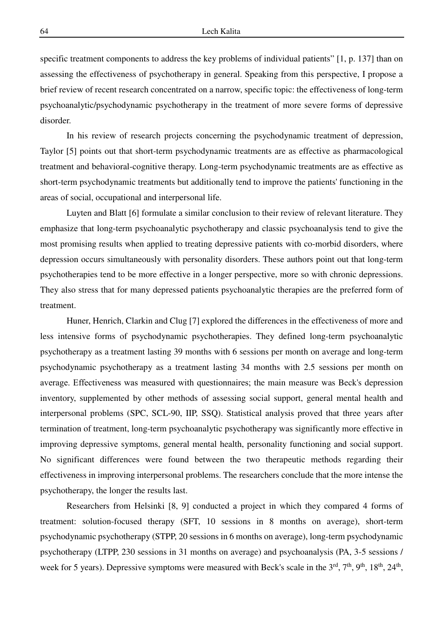specific treatment components to address the key problems of individual patients" [1, p. 137] than on assessing the effectiveness of psychotherapy in general. Speaking from this perspective, I propose a brief review of recent research concentrated on a narrow, specific topic: the effectiveness of long-term psychoanalytic/psychodynamic psychotherapy in the treatment of more severe forms of depressive disorder.

 In his review of research projects concerning the psychodynamic treatment of depression, Taylor [5] points out that short-term psychodynamic treatments are as effective as pharmacological treatment and behavioral-cognitive therapy. Long-term psychodynamic treatments are as effective as short-term psychodynamic treatments but additionally tend to improve the patients' functioning in the areas of social, occupational and interpersonal life.

 Luyten and Blatt [6] formulate a similar conclusion to their review of relevant literature. They emphasize that long-term psychoanalytic psychotherapy and classic psychoanalysis tend to give the most promising results when applied to treating depressive patients with co-morbid disorders, where depression occurs simultaneously with personality disorders. These authors point out that long-term psychotherapies tend to be more effective in a longer perspective, more so with chronic depressions. They also stress that for many depressed patients psychoanalytic therapies are the preferred form of treatment.

 Huner, Henrich, Clarkin and Clug [7] explored the differences in the effectiveness of more and less intensive forms of psychodynamic psychotherapies. They defined long-term psychoanalytic psychotherapy as a treatment lasting 39 months with 6 sessions per month on average and long-term psychodynamic psychotherapy as a treatment lasting 34 months with 2.5 sessions per month on average. Effectiveness was measured with questionnaires; the main measure was Beck's depression inventory, supplemented by other methods of assessing social support, general mental health and interpersonal problems (SPC, SCL-90, IIP, SSQ). Statistical analysis proved that three years after termination of treatment, long-term psychoanalytic psychotherapy was significantly more effective in improving depressive symptoms, general mental health, personality functioning and social support. No significant differences were found between the two therapeutic methods regarding their effectiveness in improving interpersonal problems. The researchers conclude that the more intense the psychotherapy, the longer the results last.

 Researchers from Helsinki [8, 9] conducted a project in which they compared 4 forms of treatment: solution-focused therapy (SFT, 10 sessions in 8 months on average), short-term psychodynamic psychotherapy (STPP, 20 sessions in 6 months on average), long-term psychodynamic psychotherapy (LTPP, 230 sessions in 31 months on average) and psychoanalysis (PA, 3-5 sessions / week for 5 years). Depressive symptoms were measured with Beck's scale in the 3<sup>rd</sup>, 7<sup>th</sup>, 9<sup>th</sup>, 18<sup>th</sup>, 24<sup>th</sup>,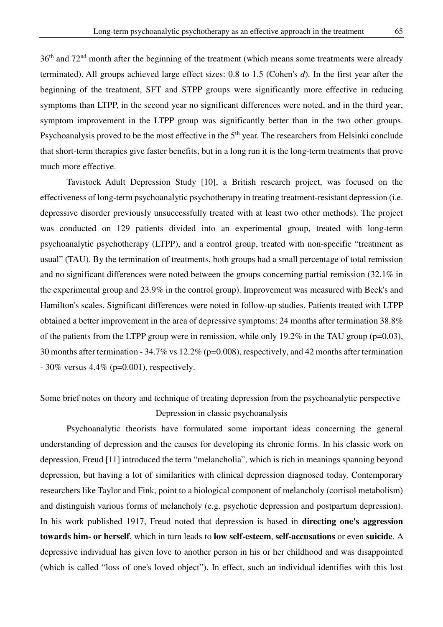36th and 72nd month after the beginning of the treatment (which means some treatments were already terminated). All groups achieved large effect sizes: 0.8 to 1.5 (Cohen's *d*). In the first year after the beginning of the treatment, SFT and STPP groups were significantly more effective in reducing symptoms than LTPP, in the second year no significant differences were noted, and in the third year, symptom improvement in the LTPP group was significantly better than in the two other groups. Psychoanalysis proved to be the most effective in the 5<sup>th</sup> year. The researchers from Helsinki conclude that short-term therapies give faster benefits, but in a long run it is the long-term treatments that prove much more effective.

 Tavistock Adult Depression Study [10], a British research project, was focused on the effectiveness of long-term psychoanalytic psychotherapy in treating treatment-resistant depression (i.e. depressive disorder previously unsuccessfully treated with at least two other methods). The project was conducted on 129 patients divided into an experimental group, treated with long-term psychoanalytic psychotherapy (LTPP), and a control group, treated with non-specific "treatment as usual" (TAU). By the termination of treatments, both groups had a small percentage of total remission and no significant differences were noted between the groups concerning partial remission (32.1% in the experimental group and 23.9% in the control group). Improvement was measured with Beck's and Hamilton's scales. Significant differences were noted in follow-up studies. Patients treated with LTPP obtained a better improvement in the area of depressive symptoms: 24 months after termination 38.8% of the patients from the LTPP group were in remission, while only 19.2% in the TAU group ( $p=0.03$ ), 30 months after termination - 34.7% vs 12.2% (p=0.008), respectively, and 42 months after termination  $-30\%$  versus  $4.4\%$  (p=0.001), respectively.

# Some brief notes on theory and technique of treating depression from the psychoanalytic perspective Depression in classic psychoanalysis

Psychoanalytic theorists have formulated some important ideas concerning the general understanding of depression and the causes for developing its chronic forms. In his classic work on depression, Freud [11] introduced the term "melancholia", which is rich in meanings spanning beyond depression, but having a lot of similarities with clinical depression diagnosed today. Contemporary researchers like Taylor and Fink, point to a biological component of melancholy (cortisol metabolism) and distinguish various forms of melancholy (e.g. psychotic depression and postpartum depression). In his work published 1917, Freud noted that depression is based in **directing one's aggression towards him- or herself**, which in turn leads to **low self-esteem**, **self-accusations** or even **suicide**. A depressive individual has given love to another person in his or her childhood and was disappointed (which is called "loss of one's loved object"). In effect, such an individual identifies with this lost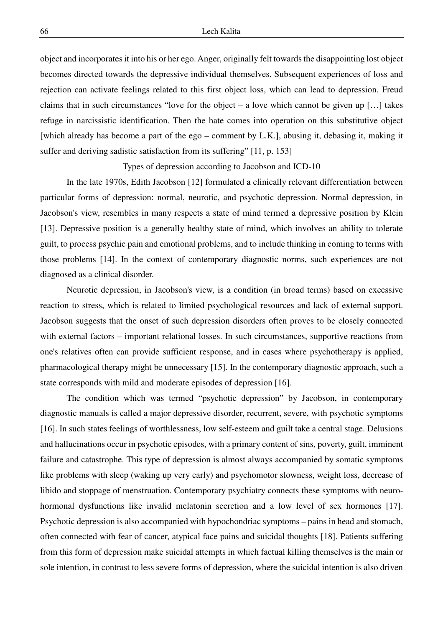object and incorporates it into his or her ego. Anger, originally felt towards the disappointing lost object becomes directed towards the depressive individual themselves. Subsequent experiences of loss and rejection can activate feelings related to this first object loss, which can lead to depression. Freud claims that in such circumstances "love for the object – a love which cannot be given up […] takes refuge in narcissistic identification. Then the hate comes into operation on this substitutive object [which already has become a part of the ego – comment by L.K.], abusing it, debasing it, making it suffer and deriving sadistic satisfaction from its suffering" [11, p. 153]

Types of depression according to Jacobson and ICD-10

In the late 1970s, Edith Jacobson [12] formulated a clinically relevant differentiation between particular forms of depression: normal, neurotic, and psychotic depression. Normal depression, in Jacobson's view, resembles in many respects a state of mind termed a depressive position by Klein [13]. Depressive position is a generally healthy state of mind, which involves an ability to tolerate guilt, to process psychic pain and emotional problems, and to include thinking in coming to terms with those problems [14]. In the context of contemporary diagnostic norms, such experiences are not diagnosed as a clinical disorder.

 Neurotic depression, in Jacobson's view, is a condition (in broad terms) based on excessive reaction to stress, which is related to limited psychological resources and lack of external support. Jacobson suggests that the onset of such depression disorders often proves to be closely connected with external factors – important relational losses. In such circumstances, supportive reactions from one's relatives often can provide sufficient response, and in cases where psychotherapy is applied, pharmacological therapy might be unnecessary [15]. In the contemporary diagnostic approach, such a state corresponds with mild and moderate episodes of depression [16].

 The condition which was termed "psychotic depression" by Jacobson, in contemporary diagnostic manuals is called a major depressive disorder, recurrent, severe, with psychotic symptoms [16]. In such states feelings of worthlessness, low self-esteem and guilt take a central stage. Delusions and hallucinations occur in psychotic episodes, with a primary content of sins, poverty, guilt, imminent failure and catastrophe. This type of depression is almost always accompanied by somatic symptoms like problems with sleep (waking up very early) and psychomotor slowness, weight loss, decrease of libido and stoppage of menstruation. Contemporary psychiatry connects these symptoms with neurohormonal dysfunctions like invalid melatonin secretion and a low level of sex hormones [17]. Psychotic depression is also accompanied with hypochondriac symptoms – pains in head and stomach, often connected with fear of cancer, atypical face pains and suicidal thoughts [18]. Patients suffering from this form of depression make suicidal attempts in which factual killing themselves is the main or sole intention, in contrast to less severe forms of depression, where the suicidal intention is also driven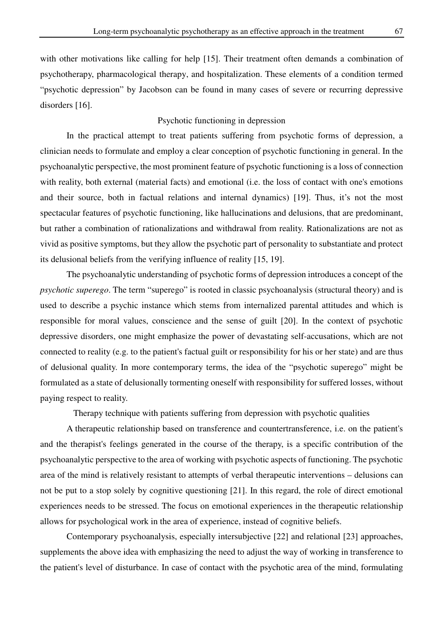with other motivations like calling for help [15]. Their treatment often demands a combination of psychotherapy, pharmacological therapy, and hospitalization. These elements of a condition termed "psychotic depression" by Jacobson can be found in many cases of severe or recurring depressive disorders [16].

### Psychotic functioning in depression

In the practical attempt to treat patients suffering from psychotic forms of depression, a clinician needs to formulate and employ a clear conception of psychotic functioning in general. In the psychoanalytic perspective, the most prominent feature of psychotic functioning is a loss of connection with reality, both external (material facts) and emotional (i.e. the loss of contact with one's emotions and their source, both in factual relations and internal dynamics) [19]. Thus, it's not the most spectacular features of psychotic functioning, like hallucinations and delusions, that are predominant, but rather a combination of rationalizations and withdrawal from reality. Rationalizations are not as vivid as positive symptoms, but they allow the psychotic part of personality to substantiate and protect its delusional beliefs from the verifying influence of reality [15, 19].

 The psychoanalytic understanding of psychotic forms of depression introduces a concept of the *psychotic superego*. The term "superego" is rooted in classic psychoanalysis (structural theory) and is used to describe a psychic instance which stems from internalized parental attitudes and which is responsible for moral values, conscience and the sense of guilt [20]. In the context of psychotic depressive disorders, one might emphasize the power of devastating self-accusations, which are not connected to reality (e.g. to the patient's factual guilt or responsibility for his or her state) and are thus of delusional quality. In more contemporary terms, the idea of the "psychotic superego" might be formulated as a state of delusionally tormenting oneself with responsibility for suffered losses, without paying respect to reality.

Therapy technique with patients suffering from depression with psychotic qualities

 A therapeutic relationship based on transference and countertransference, i.e. on the patient's and the therapist's feelings generated in the course of the therapy, is a specific contribution of the psychoanalytic perspective to the area of working with psychotic aspects of functioning. The psychotic area of the mind is relatively resistant to attempts of verbal therapeutic interventions – delusions can not be put to a stop solely by cognitive questioning [21]. In this regard, the role of direct emotional experiences needs to be stressed. The focus on emotional experiences in the therapeutic relationship allows for psychological work in the area of experience, instead of cognitive beliefs.

 Contemporary psychoanalysis, especially intersubjective [22] and relational [23] approaches, supplements the above idea with emphasizing the need to adjust the way of working in transference to the patient's level of disturbance. In case of contact with the psychotic area of the mind, formulating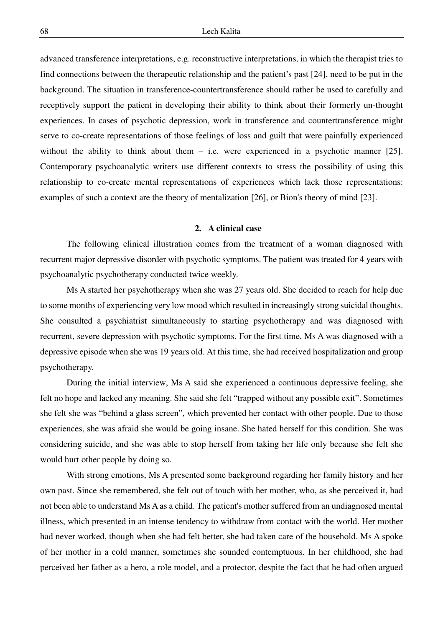advanced transference interpretations, e.g. reconstructive interpretations, in which the therapist tries to find connections between the therapeutic relationship and the patient's past [24], need to be put in the background. The situation in transference-countertransference should rather be used to carefully and receptively support the patient in developing their ability to think about their formerly un-thought experiences. In cases of psychotic depression, work in transference and countertransference might serve to co-create representations of those feelings of loss and guilt that were painfully experienced without the ability to think about them – i.e. were experienced in a psychotic manner [25]. Contemporary psychoanalytic writers use different contexts to stress the possibility of using this relationship to co-create mental representations of experiences which lack those representations: examples of such a context are the theory of mentalization [26], or Bion's theory of mind [23].

#### **2. A clinical case**

The following clinical illustration comes from the treatment of a woman diagnosed with recurrent major depressive disorder with psychotic symptoms. The patient was treated for 4 years with psychoanalytic psychotherapy conducted twice weekly.

 Ms A started her psychotherapy when she was 27 years old. She decided to reach for help due to some months of experiencing very low mood which resulted in increasingly strong suicidal thoughts. She consulted a psychiatrist simultaneously to starting psychotherapy and was diagnosed with recurrent, severe depression with psychotic symptoms. For the first time, Ms A was diagnosed with a depressive episode when she was 19 years old. At this time, she had received hospitalization and group psychotherapy.

 During the initial interview, Ms A said she experienced a continuous depressive feeling, she felt no hope and lacked any meaning. She said she felt "trapped without any possible exit". Sometimes she felt she was "behind a glass screen", which prevented her contact with other people. Due to those experiences, she was afraid she would be going insane. She hated herself for this condition. She was considering suicide, and she was able to stop herself from taking her life only because she felt she would hurt other people by doing so.

 With strong emotions, Ms A presented some background regarding her family history and her own past. Since she remembered, she felt out of touch with her mother, who, as she perceived it, had not been able to understand Ms A as a child. The patient's mother suffered from an undiagnosed mental illness, which presented in an intense tendency to withdraw from contact with the world. Her mother had never worked, though when she had felt better, she had taken care of the household. Ms A spoke of her mother in a cold manner, sometimes she sounded contemptuous. In her childhood, she had perceived her father as a hero, a role model, and a protector, despite the fact that he had often argued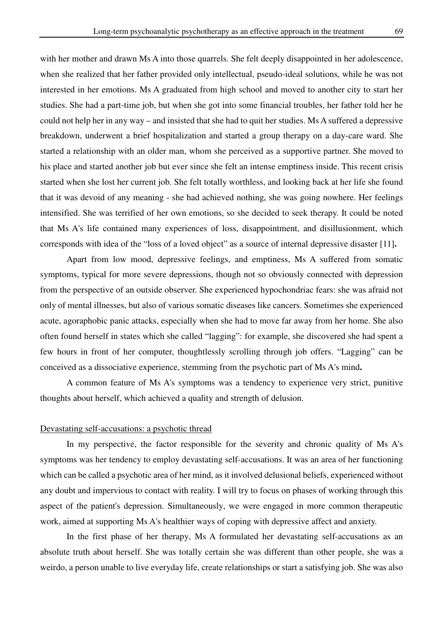with her mother and drawn Ms A into those quarrels. She felt deeply disappointed in her adolescence, when she realized that her father provided only intellectual, pseudo-ideal solutions, while he was not interested in her emotions. Ms A graduated from high school and moved to another city to start her studies. She had a part-time job, but when she got into some financial troubles, her father told her he could not help her in any way – and insisted that she had to quit her studies. Ms A suffered a depressive breakdown, underwent a brief hospitalization and started a group therapy on a day-care ward. She started a relationship with an older man, whom she perceived as a supportive partner. She moved to his place and started another job but ever since she felt an intense emptiness inside. This recent crisis started when she lost her current job. She felt totally worthless, and looking back at her life she found that it was devoid of any meaning - she had achieved nothing, she was going nowhere. Her feelings intensified. She was terrified of her own emotions, so she decided to seek therapy. It could be noted that Ms A's life contained many experiences of loss, disappointment, and disillusionment, which corresponds with idea of the "loss of a loved object" as a source of internal depressive disaster [11]**.** 

 Apart from low mood, depressive feelings, and emptiness, Ms A suffered from somatic symptoms, typical for more severe depressions, though not so obviously connected with depression from the perspective of an outside observer. She experienced hypochondriac fears: she was afraid not only of mental illnesses, but also of various somatic diseases like cancers. Sometimes she experienced acute, agoraphobic panic attacks, especially when she had to move far away from her home. She also often found herself in states which she called "lagging": for example, she discovered she had spent a few hours in front of her computer, thoughtlessly scrolling through job offers. "Lagging" can be conceived as a dissociative experience, stemming from the psychotic part of Ms A's mind**.** 

 A common feature of Ms A's symptoms was a tendency to experience very strict, punitive thoughts about herself, which achieved a quality and strength of delusion.

#### Devastating self-accusations: a psychotic thread

 In my perspective, the factor responsible for the severity and chronic quality of Ms A's symptoms was her tendency to employ devastating self-accusations. It was an area of her functioning which can be called a psychotic area of her mind, as it involved delusional beliefs, experienced without any doubt and impervious to contact with reality. I will try to focus on phases of working through this aspect of the patient's depression. Simultaneously, we were engaged in more common therapeutic work, aimed at supporting Ms A's healthier ways of coping with depressive affect and anxiety.

 In the first phase of her therapy, Ms A formulated her devastating self-accusations as an absolute truth about herself. She was totally certain she was different than other people, she was a weirdo, a person unable to live everyday life, create relationships or start a satisfying job. She was also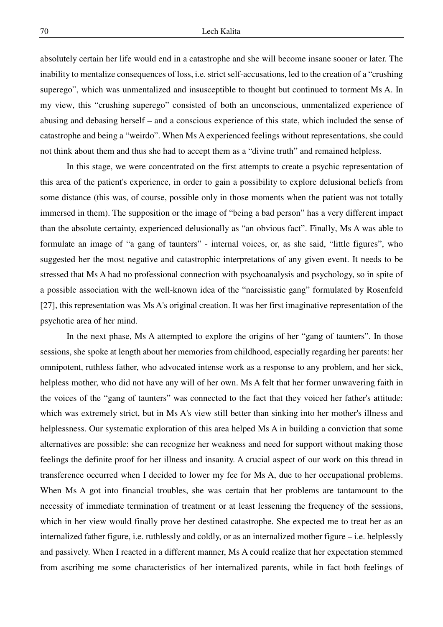absolutely certain her life would end in a catastrophe and she will become insane sooner or later. The inability to mentalize consequences of loss, i.e. strict self-accusations, led to the creation of a "crushing superego", which was unmentalized and insusceptible to thought but continued to torment Ms A. In my view, this "crushing superego" consisted of both an unconscious, unmentalized experience of abusing and debasing herself – and a conscious experience of this state, which included the sense of catastrophe and being a "weirdo". When Ms A experienced feelings without representations, she could not think about them and thus she had to accept them as a "divine truth" and remained helpless.

 In this stage, we were concentrated on the first attempts to create a psychic representation of this area of the patient's experience, in order to gain a possibility to explore delusional beliefs from some distance (this was, of course, possible only in those moments when the patient was not totally immersed in them). The supposition or the image of "being a bad person" has a very different impact than the absolute certainty, experienced delusionally as "an obvious fact". Finally, Ms A was able to formulate an image of "a gang of taunters" - internal voices, or, as she said, "little figures", who suggested her the most negative and catastrophic interpretations of any given event. It needs to be stressed that Ms A had no professional connection with psychoanalysis and psychology, so in spite of a possible association with the well-known idea of the "narcissistic gang" formulated by Rosenfeld [27], this representation was Ms A's original creation. It was her first imaginative representation of the psychotic area of her mind.

 In the next phase, Ms A attempted to explore the origins of her "gang of taunters". In those sessions, she spoke at length about her memories from childhood, especially regarding her parents: her omnipotent, ruthless father, who advocated intense work as a response to any problem, and her sick, helpless mother, who did not have any will of her own. Ms A felt that her former unwavering faith in the voices of the "gang of taunters" was connected to the fact that they voiced her father's attitude: which was extremely strict, but in Ms A's view still better than sinking into her mother's illness and helplessness. Our systematic exploration of this area helped Ms A in building a conviction that some alternatives are possible: she can recognize her weakness and need for support without making those feelings the definite proof for her illness and insanity. A crucial aspect of our work on this thread in transference occurred when I decided to lower my fee for Ms A, due to her occupational problems. When Ms A got into financial troubles, she was certain that her problems are tantamount to the necessity of immediate termination of treatment or at least lessening the frequency of the sessions, which in her view would finally prove her destined catastrophe. She expected me to treat her as an internalized father figure, i.e. ruthlessly and coldly, or as an internalized mother figure – i.e. helplessly and passively. When I reacted in a different manner, Ms A could realize that her expectation stemmed from ascribing me some characteristics of her internalized parents, while in fact both feelings of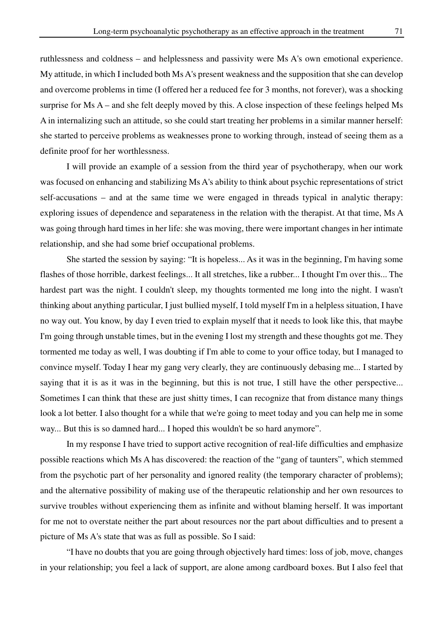ruthlessness and coldness – and helplessness and passivity were Ms A's own emotional experience. My attitude, in which I included both Ms A's present weakness and the supposition that she can develop and overcome problems in time (I offered her a reduced fee for 3 months, not forever), was a shocking surprise for Ms A – and she felt deeply moved by this. A close inspection of these feelings helped Ms A in internalizing such an attitude, so she could start treating her problems in a similar manner herself: she started to perceive problems as weaknesses prone to working through, instead of seeing them as a definite proof for her worthlessness.

 I will provide an example of a session from the third year of psychotherapy, when our work was focused on enhancing and stabilizing Ms A's ability to think about psychic representations of strict self-accusations – and at the same time we were engaged in threads typical in analytic therapy: exploring issues of dependence and separateness in the relation with the therapist. At that time, Ms A was going through hard times in her life: she was moving, there were important changes in her intimate relationship, and she had some brief occupational problems.

 She started the session by saying: "It is hopeless... As it was in the beginning, I'm having some flashes of those horrible, darkest feelings... It all stretches, like a rubber... I thought I'm over this... The hardest part was the night. I couldn't sleep, my thoughts tormented me long into the night. I wasn't thinking about anything particular, I just bullied myself, I told myself I'm in a helpless situation, I have no way out. You know, by day I even tried to explain myself that it needs to look like this, that maybe I'm going through unstable times, but in the evening I lost my strength and these thoughts got me. They tormented me today as well, I was doubting if I'm able to come to your office today, but I managed to convince myself. Today I hear my gang very clearly, they are continuously debasing me... I started by saying that it is as it was in the beginning, but this is not true, I still have the other perspective... Sometimes I can think that these are just shitty times, I can recognize that from distance many things look a lot better. I also thought for a while that we're going to meet today and you can help me in some way... But this is so damned hard... I hoped this wouldn't be so hard anymore".

 In my response I have tried to support active recognition of real-life difficulties and emphasize possible reactions which Ms A has discovered: the reaction of the "gang of taunters", which stemmed from the psychotic part of her personality and ignored reality (the temporary character of problems); and the alternative possibility of making use of the therapeutic relationship and her own resources to survive troubles without experiencing them as infinite and without blaming herself. It was important for me not to overstate neither the part about resources nor the part about difficulties and to present a picture of Ms A's state that was as full as possible. So I said:

 "I have no doubts that you are going through objectively hard times: loss of job, move, changes in your relationship; you feel a lack of support, are alone among cardboard boxes. But I also feel that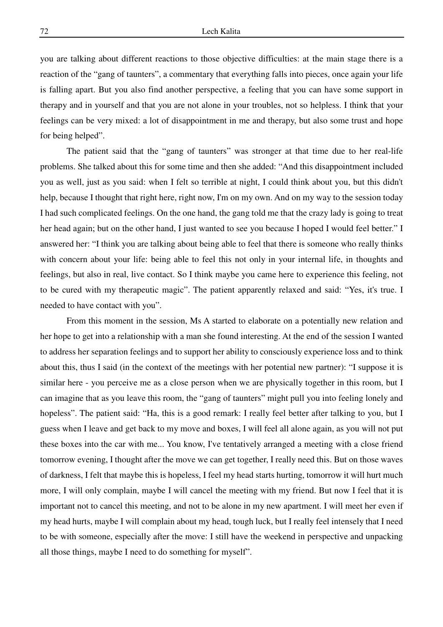you are talking about different reactions to those objective difficulties: at the main stage there is a reaction of the "gang of taunters", a commentary that everything falls into pieces, once again your life is falling apart. But you also find another perspective, a feeling that you can have some support in therapy and in yourself and that you are not alone in your troubles, not so helpless. I think that your feelings can be very mixed: a lot of disappointment in me and therapy, but also some trust and hope for being helped".

 The patient said that the "gang of taunters" was stronger at that time due to her real-life problems. She talked about this for some time and then she added: "And this disappointment included you as well, just as you said: when I felt so terrible at night, I could think about you, but this didn't help, because I thought that right here, right now, I'm on my own. And on my way to the session today I had such complicated feelings. On the one hand, the gang told me that the crazy lady is going to treat her head again; but on the other hand, I just wanted to see you because I hoped I would feel better." I answered her: "I think you are talking about being able to feel that there is someone who really thinks with concern about your life: being able to feel this not only in your internal life, in thoughts and feelings, but also in real, live contact. So I think maybe you came here to experience this feeling, not to be cured with my therapeutic magic". The patient apparently relaxed and said: "Yes, it's true. I needed to have contact with you".

 From this moment in the session, Ms A started to elaborate on a potentially new relation and her hope to get into a relationship with a man she found interesting. At the end of the session I wanted to address her separation feelings and to support her ability to consciously experience loss and to think about this, thus I said (in the context of the meetings with her potential new partner): "I suppose it is similar here - you perceive me as a close person when we are physically together in this room, but I can imagine that as you leave this room, the "gang of taunters" might pull you into feeling lonely and hopeless". The patient said: "Ha, this is a good remark: I really feel better after talking to you, but I guess when I leave and get back to my move and boxes, I will feel all alone again, as you will not put these boxes into the car with me... You know, I've tentatively arranged a meeting with a close friend tomorrow evening, I thought after the move we can get together, I really need this. But on those waves of darkness, I felt that maybe this is hopeless, I feel my head starts hurting, tomorrow it will hurt much more, I will only complain, maybe I will cancel the meeting with my friend. But now I feel that it is important not to cancel this meeting, and not to be alone in my new apartment. I will meet her even if my head hurts, maybe I will complain about my head, tough luck, but I really feel intensely that I need to be with someone, especially after the move: I still have the weekend in perspective and unpacking all those things, maybe I need to do something for myself".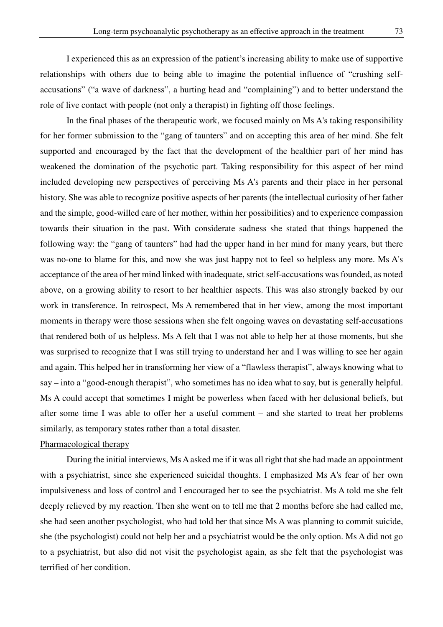I experienced this as an expression of the patient's increasing ability to make use of supportive relationships with others due to being able to imagine the potential influence of "crushing selfaccusations" ("a wave of darkness", a hurting head and "complaining") and to better understand the role of live contact with people (not only a therapist) in fighting off those feelings.

In the final phases of the therapeutic work, we focused mainly on Ms A's taking responsibility for her former submission to the "gang of taunters" and on accepting this area of her mind. She felt supported and encouraged by the fact that the development of the healthier part of her mind has weakened the domination of the psychotic part. Taking responsibility for this aspect of her mind included developing new perspectives of perceiving Ms A's parents and their place in her personal history. She was able to recognize positive aspects of her parents (the intellectual curiosity of her father and the simple, good-willed care of her mother, within her possibilities) and to experience compassion towards their situation in the past. With considerate sadness she stated that things happened the following way: the "gang of taunters" had had the upper hand in her mind for many years, but there was no-one to blame for this, and now she was just happy not to feel so helpless any more. Ms A's acceptance of the area of her mind linked with inadequate, strict self-accusations was founded, as noted above, on a growing ability to resort to her healthier aspects. This was also strongly backed by our work in transference. In retrospect, Ms A remembered that in her view, among the most important moments in therapy were those sessions when she felt ongoing waves on devastating self-accusations that rendered both of us helpless. Ms A felt that I was not able to help her at those moments, but she was surprised to recognize that I was still trying to understand her and I was willing to see her again and again. This helped her in transforming her view of a "flawless therapist", always knowing what to say – into a "good-enough therapist", who sometimes has no idea what to say, but is generally helpful. Ms A could accept that sometimes I might be powerless when faced with her delusional beliefs, but after some time I was able to offer her a useful comment – and she started to treat her problems similarly, as temporary states rather than a total disaster.

## Pharmacological therapy

During the initial interviews, Ms A asked me if it was all right that she had made an appointment with a psychiatrist, since she experienced suicidal thoughts. I emphasized Ms A's fear of her own impulsiveness and loss of control and I encouraged her to see the psychiatrist. Ms A told me she felt deeply relieved by my reaction. Then she went on to tell me that 2 months before she had called me, she had seen another psychologist, who had told her that since Ms A was planning to commit suicide, she (the psychologist) could not help her and a psychiatrist would be the only option. Ms A did not go to a psychiatrist, but also did not visit the psychologist again, as she felt that the psychologist was terrified of her condition.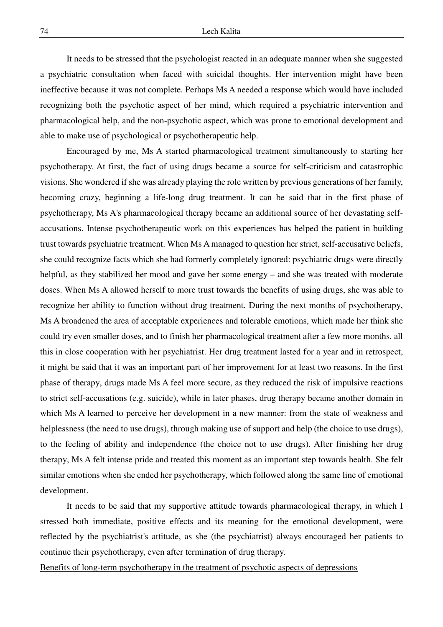It needs to be stressed that the psychologist reacted in an adequate manner when she suggested a psychiatric consultation when faced with suicidal thoughts. Her intervention might have been ineffective because it was not complete. Perhaps Ms A needed a response which would have included recognizing both the psychotic aspect of her mind, which required a psychiatric intervention and pharmacological help, and the non-psychotic aspect, which was prone to emotional development and able to make use of psychological or psychotherapeutic help.

 Encouraged by me, Ms A started pharmacological treatment simultaneously to starting her psychotherapy. At first, the fact of using drugs became a source for self-criticism and catastrophic visions. She wondered if she was already playing the role written by previous generations of her family, becoming crazy, beginning a life-long drug treatment. It can be said that in the first phase of psychotherapy, Ms A's pharmacological therapy became an additional source of her devastating selfaccusations. Intense psychotherapeutic work on this experiences has helped the patient in building trust towards psychiatric treatment. When Ms A managed to question her strict, self-accusative beliefs, she could recognize facts which she had formerly completely ignored: psychiatric drugs were directly helpful, as they stabilized her mood and gave her some energy – and she was treated with moderate doses. When Ms A allowed herself to more trust towards the benefits of using drugs, she was able to recognize her ability to function without drug treatment. During the next months of psychotherapy, Ms A broadened the area of acceptable experiences and tolerable emotions, which made her think she could try even smaller doses, and to finish her pharmacological treatment after a few more months, all this in close cooperation with her psychiatrist. Her drug treatment lasted for a year and in retrospect, it might be said that it was an important part of her improvement for at least two reasons. In the first phase of therapy, drugs made Ms A feel more secure, as they reduced the risk of impulsive reactions to strict self-accusations (e.g. suicide), while in later phases, drug therapy became another domain in which Ms A learned to perceive her development in a new manner: from the state of weakness and helplessness (the need to use drugs), through making use of support and help (the choice to use drugs), to the feeling of ability and independence (the choice not to use drugs). After finishing her drug therapy, Ms A felt intense pride and treated this moment as an important step towards health. She felt similar emotions when she ended her psychotherapy, which followed along the same line of emotional development.

 It needs to be said that my supportive attitude towards pharmacological therapy, in which I stressed both immediate, positive effects and its meaning for the emotional development, were reflected by the psychiatrist's attitude, as she (the psychiatrist) always encouraged her patients to continue their psychotherapy, even after termination of drug therapy.

Benefits of long-term psychotherapy in the treatment of psychotic aspects of depressions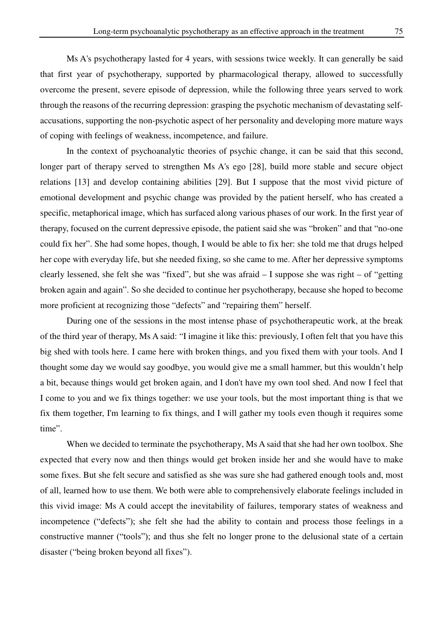Ms A's psychotherapy lasted for 4 years, with sessions twice weekly. It can generally be said that first year of psychotherapy, supported by pharmacological therapy, allowed to successfully overcome the present, severe episode of depression, while the following three years served to work through the reasons of the recurring depression: grasping the psychotic mechanism of devastating selfaccusations, supporting the non-psychotic aspect of her personality and developing more mature ways of coping with feelings of weakness, incompetence, and failure.

 In the context of psychoanalytic theories of psychic change, it can be said that this second, longer part of therapy served to strengthen Ms A's ego [28], build more stable and secure object relations [13] and develop containing abilities [29]. But I suppose that the most vivid picture of emotional development and psychic change was provided by the patient herself, who has created a specific, metaphorical image, which has surfaced along various phases of our work. In the first year of therapy, focused on the current depressive episode, the patient said she was "broken" and that "no-one could fix her". She had some hopes, though, I would be able to fix her: she told me that drugs helped her cope with everyday life, but she needed fixing, so she came to me. After her depressive symptoms clearly lessened, she felt she was "fixed", but she was afraid – I suppose she was right – of "getting broken again and again". So she decided to continue her psychotherapy, because she hoped to become more proficient at recognizing those "defects" and "repairing them" herself.

 During one of the sessions in the most intense phase of psychotherapeutic work, at the break of the third year of therapy, Ms A said: "I imagine it like this: previously, I often felt that you have this big shed with tools here. I came here with broken things, and you fixed them with your tools. And I thought some day we would say goodbye, you would give me a small hammer, but this wouldn't help a bit, because things would get broken again, and I don't have my own tool shed. And now I feel that I come to you and we fix things together: we use your tools, but the most important thing is that we fix them together, I'm learning to fix things, and I will gather my tools even though it requires some time".

 When we decided to terminate the psychotherapy, Ms A said that she had her own toolbox. She expected that every now and then things would get broken inside her and she would have to make some fixes. But she felt secure and satisfied as she was sure she had gathered enough tools and, most of all, learned how to use them. We both were able to comprehensively elaborate feelings included in this vivid image: Ms A could accept the inevitability of failures, temporary states of weakness and incompetence ("defects"); she felt she had the ability to contain and process those feelings in a constructive manner ("tools"); and thus she felt no longer prone to the delusional state of a certain disaster ("being broken beyond all fixes").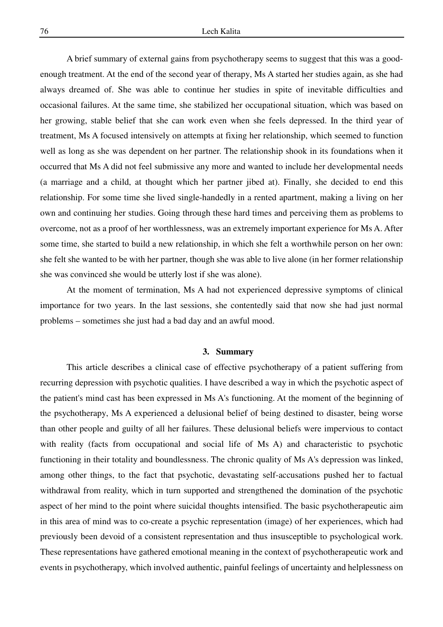A brief summary of external gains from psychotherapy seems to suggest that this was a goodenough treatment. At the end of the second year of therapy, Ms A started her studies again, as she had always dreamed of. She was able to continue her studies in spite of inevitable difficulties and occasional failures. At the same time, she stabilized her occupational situation, which was based on her growing, stable belief that she can work even when she feels depressed. In the third year of treatment, Ms A focused intensively on attempts at fixing her relationship, which seemed to function well as long as she was dependent on her partner. The relationship shook in its foundations when it occurred that Ms A did not feel submissive any more and wanted to include her developmental needs (a marriage and a child, at thought which her partner jibed at). Finally, she decided to end this relationship. For some time she lived single-handedly in a rented apartment, making a living on her own and continuing her studies. Going through these hard times and perceiving them as problems to overcome, not as a proof of her worthlessness, was an extremely important experience for Ms A. After some time, she started to build a new relationship, in which she felt a worthwhile person on her own: she felt she wanted to be with her partner, though she was able to live alone (in her former relationship she was convinced she would be utterly lost if she was alone).

 At the moment of termination, Ms A had not experienced depressive symptoms of clinical importance for two years. In the last sessions, she contentedly said that now she had just normal problems – sometimes she just had a bad day and an awful mood.

#### **3. Summary**

 This article describes a clinical case of effective psychotherapy of a patient suffering from recurring depression with psychotic qualities. I have described a way in which the psychotic aspect of the patient's mind cast has been expressed in Ms A's functioning. At the moment of the beginning of the psychotherapy, Ms A experienced a delusional belief of being destined to disaster, being worse than other people and guilty of all her failures. These delusional beliefs were impervious to contact with reality (facts from occupational and social life of Ms A) and characteristic to psychotic functioning in their totality and boundlessness. The chronic quality of Ms A's depression was linked, among other things, to the fact that psychotic, devastating self-accusations pushed her to factual withdrawal from reality, which in turn supported and strengthened the domination of the psychotic aspect of her mind to the point where suicidal thoughts intensified. The basic psychotherapeutic aim in this area of mind was to co-create a psychic representation (image) of her experiences, which had previously been devoid of a consistent representation and thus insusceptible to psychological work. These representations have gathered emotional meaning in the context of psychotherapeutic work and events in psychotherapy, which involved authentic, painful feelings of uncertainty and helplessness on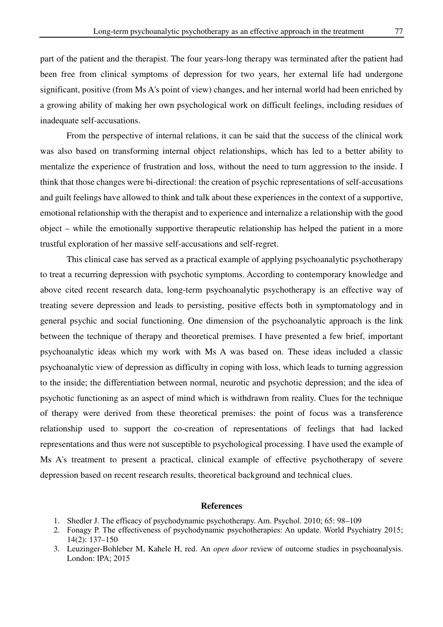part of the patient and the therapist. The four years-long therapy was terminated after the patient had been free from clinical symptoms of depression for two years, her external life had undergone significant, positive (from Ms A's point of view) changes, and her internal world had been enriched by a growing ability of making her own psychological work on difficult feelings, including residues of inadequate self-accusations.

 From the perspective of internal relations, it can be said that the success of the clinical work was also based on transforming internal object relationships, which has led to a better ability to mentalize the experience of frustration and loss, without the need to turn aggression to the inside. I think that those changes were bi-directional: the creation of psychic representations of self-accusations and guilt feelings have allowed to think and talk about these experiences in the context of a supportive, emotional relationship with the therapist and to experience and internalize a relationship with the good object – while the emotionally supportive therapeutic relationship has helped the patient in a more trustful exploration of her massive self-accusations and self-regret.

This clinical case has served as a practical example of applying psychoanalytic psychotherapy to treat a recurring depression with psychotic symptoms. According to contemporary knowledge and above cited recent research data, long-term psychoanalytic psychotherapy is an effective way of treating severe depression and leads to persisting, positive effects both in symptomatology and in general psychic and social functioning. One dimension of the psychoanalytic approach is the link between the technique of therapy and theoretical premises. I have presented a few brief, important psychoanalytic ideas which my work with Ms A was based on. These ideas included a classic psychoanalytic view of depression as difficulty in coping with loss, which leads to turning aggression to the inside; the differentiation between normal, neurotic and psychotic depression; and the idea of psychotic functioning as an aspect of mind which is withdrawn from reality. Clues for the technique of therapy were derived from these theoretical premises: the point of focus was a transference relationship used to support the co-creation of representations of feelings that had lacked representations and thus were not susceptible to psychological processing. I have used the example of Ms A's treatment to present a practical, clinical example of effective psychotherapy of severe depression based on recent research results, theoretical background and technical clues.

#### **References**

- 1. Shedler J. The efficacy of psychodynamic psychotherapy. Am. Psychol. 2010; 65: 98–109
- 2. Fonagy P. The effectiveness of psychodynamic psychotherapies: An update. World Psychiatry 2015; 14(2): 137–150
- 3. Leuzinger-Bohleber M, Kahele H, red. An *open door* review of outcome studies in psychoanalysis. London: IPA; 2015